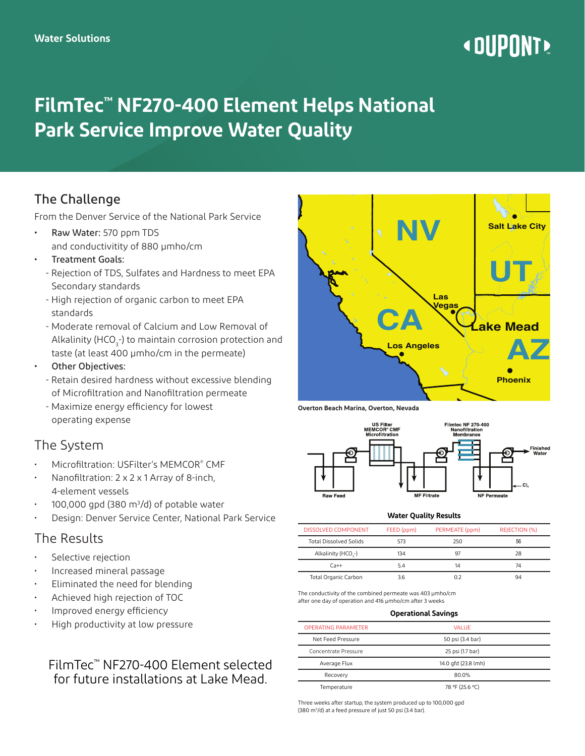# **« DUPONT!**

# **FilmTec™ NF270-400 Element Helps National Park Service Improve Water Quality**

## The Challenge

From the Denver Service of the National Park Service

- Raw Water: 570 ppm TDS and conductivitity of 880 µmho/cm
- Treatment Goals:
	- Rejection of TDS, Sulfates and Hardness to meet EPA Secondary standards
	- High rejection of organic carbon to meet EPA standards
	- Moderate removal of Calcium and Low Removal of Alkalinity (HCO $_3$ -) to maintain corrosion protection and taste (at least 400 µmho/cm in the permeate)
- Other Objectives:
	- Retain desired hardness without excessive blending of Microfiltration and Nanofiltration permeate
	- Maximize energy efficiency for lowest operating expense

### The System

- Microfiltration: USFilter's MEMCOR® CMF
- Nanofiltration: 2 x 2 x 1 Array of 8-inch, 4-element vessels
- $\cdot$  100,000 gpd (380 m<sup>3</sup>/d) of potable water
- Design: Denver Service Center, National Park Service

#### The Results

- Selective rejection
- Increased mineral passage
- Eliminated the need for blending
- Achieved high rejection of TOC
- Improved energy efficiency
- High productivity at low pressure

#### FilmTec™ NF270-400 Element selected for future installations at Lake Mead.



**Overton Beach Marina, Overton, Nevada** 



#### **Water Quality Results**

| DISSOLVED COMPONENT             | FEED (ppm) | PERMEATE (ppm) | REJECTION (%) |
|---------------------------------|------------|----------------|---------------|
| <b>Total Dissolved Solids</b>   | 573        | 250            | 56            |
| Alkalinity (HCO <sub>3</sub> -) | 134        | 97             | 28            |
| $C_{A++}$                       | 54         | 14             | 74            |
| Total Organic Carbon            | 3.6        | በ 2            | 94            |

The conductivity of the combined permeate was 403 µmho/cm after one day of operation and 416 µmho/cm after 3 weeks

#### **Operational Savings**

| <b>OPERATING PARAMETER</b> | VAI UF              |  |
|----------------------------|---------------------|--|
| Net Feed Pressure          | 50 psi (3.4 bar)    |  |
| Concentrate Pressure       | 25 psi (1.7 bar)    |  |
| Average Flux               | 14.0 gfd (23.8 lmh) |  |
| Recovery                   | 80.0%               |  |
| Temperature                | 78 °F (25.6 °C)     |  |
|                            |                     |  |

Three weeks after startup, the system produced up to 100,000 gpd (380 m3 /d) at a feed pressure of just 50 psi (3.4 bar).